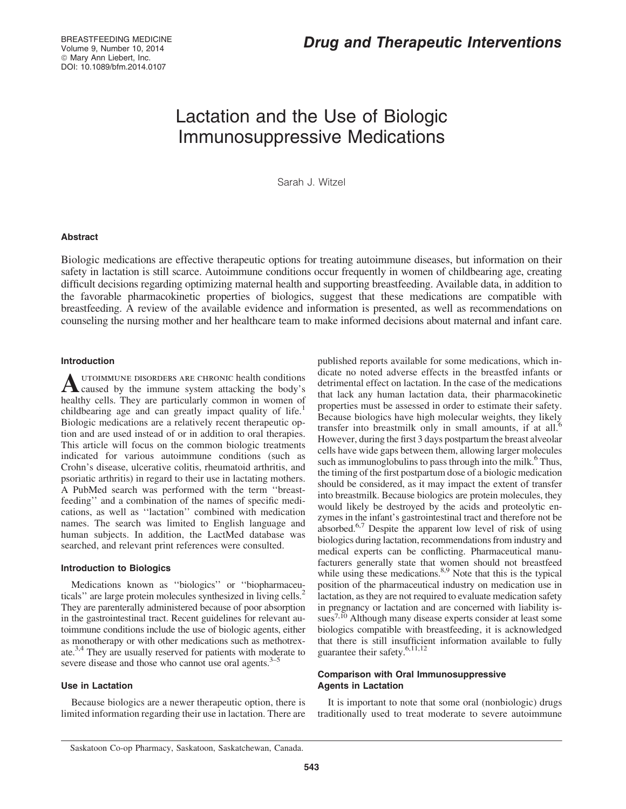# Lactation and the Use of Biologic Immunosuppressive Medications

Sarah J. Witzel

## Abstract

Biologic medications are effective therapeutic options for treating autoimmune diseases, but information on their safety in lactation is still scarce. Autoimmune conditions occur frequently in women of childbearing age, creating difficult decisions regarding optimizing maternal health and supporting breastfeeding. Available data, in addition to the favorable pharmacokinetic properties of biologics, suggest that these medications are compatible with breastfeeding. A review of the available evidence and information is presented, as well as recommendations on counseling the nursing mother and her healthcare team to make informed decisions about maternal and infant care.

# Introduction

**AUTOIMMUNE DISORDERS ARE CHRONIC health conditions**<br>caused by the immune system attacking the body's healthy cells. They are particularly common in women of childbearing age and can greatly impact quality of life.<sup>1</sup> Biologic medications are a relatively recent therapeutic option and are used instead of or in addition to oral therapies. This article will focus on the common biologic treatments indicated for various autoimmune conditions (such as Crohn's disease, ulcerative colitis, rheumatoid arthritis, and psoriatic arthritis) in regard to their use in lactating mothers. A PubMed search was performed with the term ''breastfeeding'' and a combination of the names of specific medications, as well as ''lactation'' combined with medication names. The search was limited to English language and human subjects. In addition, the LactMed database was searched, and relevant print references were consulted.

## Introduction to Biologics

Medications known as ''biologics'' or ''biopharmaceuticals'' are large protein molecules synthesized in living cells.2 They are parenterally administered because of poor absorption in the gastrointestinal tract. Recent guidelines for relevant autoimmune conditions include the use of biologic agents, either as monotherapy or with other medications such as methotrexate.3,4 They are usually reserved for patients with moderate to severe disease and those who cannot use oral agents. $3-5$ 

# Use in Lactation

Because biologics are a newer therapeutic option, there is limited information regarding their use in lactation. There are

published reports available for some medications, which indicate no noted adverse effects in the breastfed infants or detrimental effect on lactation. In the case of the medications that lack any human lactation data, their pharmacokinetic properties must be assessed in order to estimate their safety. Because biologics have high molecular weights, they likely transfer into breastmilk only in small amounts, if at all.<sup>6</sup> However, during the first 3 days postpartum the breast alveolar cells have wide gaps between them, allowing larger molecules such as immunoglobulins to pass through into the milk.<sup>6</sup> Thus, the timing of the first postpartum dose of a biologic medication should be considered, as it may impact the extent of transfer into breastmilk. Because biologics are protein molecules, they would likely be destroyed by the acids and proteolytic enzymes in the infant's gastrointestinal tract and therefore not be absorbed.6,7 Despite the apparent low level of risk of using biologics during lactation, recommendations from industry and medical experts can be conflicting. Pharmaceutical manufacturers generally state that women should not breastfeed while using these medications.<sup>8,9</sup> Note that this is the typical position of the pharmaceutical industry on medication use in lactation, as they are not required to evaluate medication safety in pregnancy or lactation and are concerned with liability issues<sup>7,10</sup> Although many disease experts consider at least some biologics compatible with breastfeeding, it is acknowledged that there is still insufficient information available to fully guarantee their safety.<sup>6,11,12</sup>

## Comparison with Oral Immunosuppressive Agents in Lactation

It is important to note that some oral (nonbiologic) drugs traditionally used to treat moderate to severe autoimmune

Saskatoon Co-op Pharmacy, Saskatoon, Saskatchewan, Canada.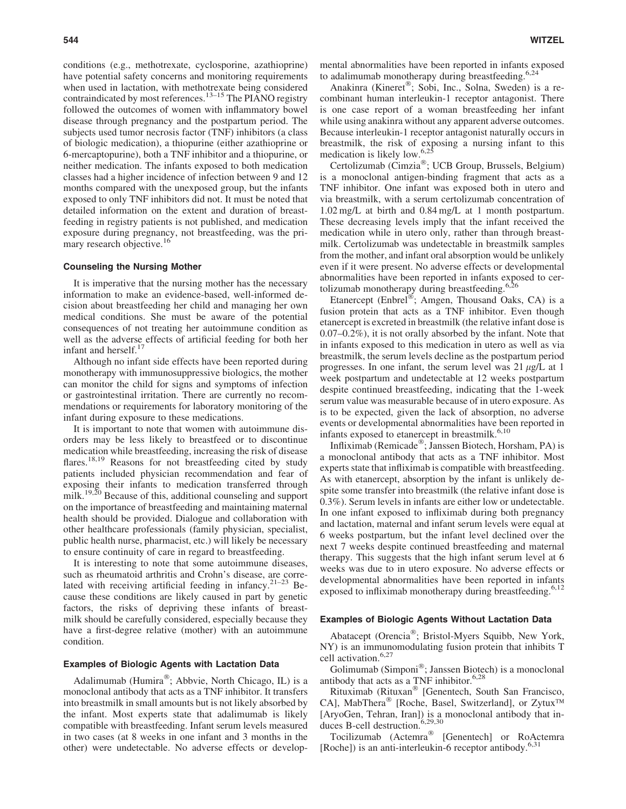conditions (e.g., methotrexate, cyclosporine, azathioprine) have potential safety concerns and monitoring requirements when used in lactation, with methotrexate being considered contraindicated by most references.<sup>13-15</sup> The PIANO registry followed the outcomes of women with inflammatory bowel disease through pregnancy and the postpartum period. The subjects used tumor necrosis factor (TNF) inhibitors (a class of biologic medication), a thiopurine (either azathioprine or 6-mercaptopurine), both a TNF inhibitor and a thiopurine, or neither medication. The infants exposed to both medication classes had a higher incidence of infection between 9 and 12 months compared with the unexposed group, but the infants exposed to only TNF inhibitors did not. It must be noted that detailed information on the extent and duration of breastfeeding in registry patients is not published, and medication exposure during pregnancy, not breastfeeding, was the primary research objective.<sup>16</sup>

#### Counseling the Nursing Mother

It is imperative that the nursing mother has the necessary information to make an evidence-based, well-informed decision about breastfeeding her child and managing her own medical conditions. She must be aware of the potential consequences of not treating her autoimmune condition as well as the adverse effects of artificial feeding for both her infant and herself.<sup>17</sup>

Although no infant side effects have been reported during monotherapy with immunosuppressive biologics, the mother can monitor the child for signs and symptoms of infection or gastrointestinal irritation. There are currently no recommendations or requirements for laboratory monitoring of the infant during exposure to these medications.

It is important to note that women with autoimmune disorders may be less likely to breastfeed or to discontinue medication while breastfeeding, increasing the risk of disease flares.<sup>18,19</sup> Reasons for not breastfeeding cited by study patients included physician recommendation and fear of exposing their infants to medication transferred through milk.<sup>19,20</sup> Because of this, additional counseling and support on the importance of breastfeeding and maintaining maternal health should be provided. Dialogue and collaboration with other healthcare professionals (family physician, specialist, public health nurse, pharmacist, etc.) will likely be necessary to ensure continuity of care in regard to breastfeeding.

It is interesting to note that some autoimmune diseases, such as rheumatoid arthritis and Crohn's disease, are correlated with receiving artificial feeding in infancy.<sup>21–23</sup> Because these conditions are likely caused in part by genetic factors, the risks of depriving these infants of breastmilk should be carefully considered, especially because they have a first-degree relative (mother) with an autoimmune condition.

### Examples of Biologic Agents with Lactation Data

Adalimumab (Humira®; Abbvie, North Chicago, IL) is a monoclonal antibody that acts as a TNF inhibitor. It transfers into breastmilk in small amounts but is not likely absorbed by the infant. Most experts state that adalimumab is likely compatible with breastfeeding. Infant serum levels measured in two cases (at 8 weeks in one infant and 3 months in the other) were undetectable. No adverse effects or developmental abnormalities have been reported in infants exposed to adalimumab monotherapy during breastfeeding. $6,24$ 

Anakinra (Kineret®; Sobi, Inc., Solna, Sweden) is a recombinant human interleukin-1 receptor antagonist. There is one case report of a woman breastfeeding her infant while using anakinra without any apparent adverse outcomes. Because interleukin-1 receptor antagonist naturally occurs in breastmilk, the risk of exposing a nursing infant to this medication is likely low.<sup>6,25</sup>

Certolizumab (Cimzia®; UCB Group, Brussels, Belgium) is a monoclonal antigen-binding fragment that acts as a TNF inhibitor. One infant was exposed both in utero and via breastmilk, with a serum certolizumab concentration of 1.02 mg/L at birth and 0.84 mg/L at 1 month postpartum. These decreasing levels imply that the infant received the medication while in utero only, rather than through breastmilk. Certolizumab was undetectable in breastmilk samples from the mother, and infant oral absorption would be unlikely even if it were present. No adverse effects or developmental abnormalities have been reported in infants exposed to certolizumab monotherapy during breastfeeding. $6,26$ 

Etanercept (Enbrel®; Amgen, Thousand Oaks, CA) is a fusion protein that acts as a TNF inhibitor. Even though etanercept is excreted in breastmilk (the relative infant dose is 0.07–0.2%), it is not orally absorbed by the infant. Note that in infants exposed to this medication in utero as well as via breastmilk, the serum levels decline as the postpartum period progresses. In one infant, the serum level was  $21 \mu g/L$  at 1 week postpartum and undetectable at 12 weeks postpartum despite continued breastfeeding, indicating that the 1-week serum value was measurable because of in utero exposure. As is to be expected, given the lack of absorption, no adverse events or developmental abnormalities have been reported in infants exposed to etanercept in breastmilk.<sup>6,10</sup>

Infliximab (Remicade<sup>®</sup>; Janssen Biotech, Horsham, PA) is a monoclonal antibody that acts as a TNF inhibitor. Most experts state that infliximab is compatible with breastfeeding. As with etanercept, absorption by the infant is unlikely despite some transfer into breastmilk (the relative infant dose is 0.3%). Serum levels in infants are either low or undetectable. In one infant exposed to infliximab during both pregnancy and lactation, maternal and infant serum levels were equal at 6 weeks postpartum, but the infant level declined over the next 7 weeks despite continued breastfeeding and maternal therapy. This suggests that the high infant serum level at 6 weeks was due to in utero exposure. No adverse effects or developmental abnormalities have been reported in infants exposed to infliximab monotherapy during breastfeeding.<sup>6,12</sup>

#### Examples of Biologic Agents Without Lactation Data

Abatacept (Orencia®; Bristol-Myers Squibb, New York, NY) is an immunomodulating fusion protein that inhibits T cell activation.6,27

Golimumab (Simponi®; Janssen Biotech) is a monoclonal antibody that acts as a TNF inhibitor.  $6,28$ 

Rituximab (Rituxan<sup>®</sup> [Genentech, South San Francisco, CA], MabThera<sup>®</sup> [Roche, Basel, Switzerland], or Zytux<sup>™</sup> [AryoGen, Tehran, Iran]) is a monoclonal antibody that induces B-cell destruction.<sup>6,29,30</sup>

Tocilizumab (Actemra<sup>®</sup> [Genentech] or RoActemra [Roche]) is an anti-interleukin-6 receptor antibody. $6,31$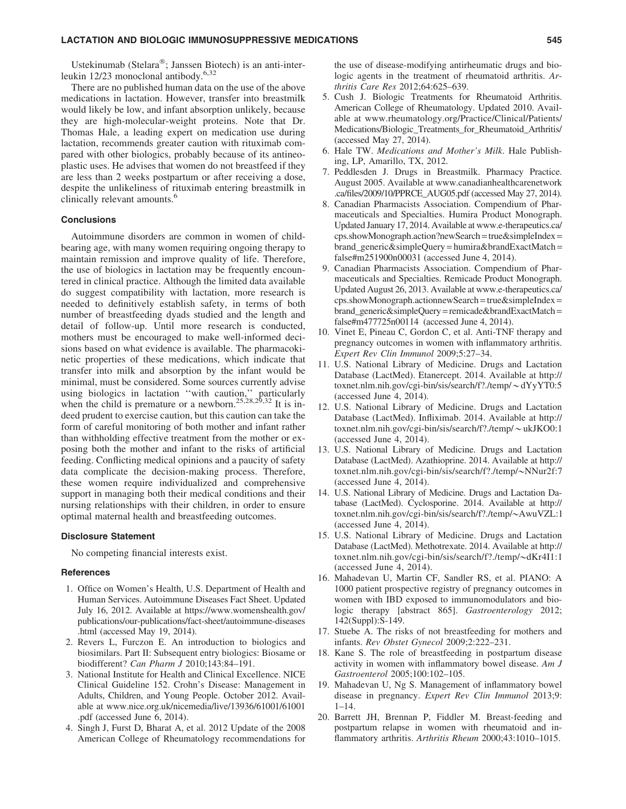Ustekinumab (Stelara®; Janssen Biotech) is an anti-interleukin 12/23 monoclonal antibody. $6,32$ 

There are no published human data on the use of the above medications in lactation. However, transfer into breastmilk would likely be low, and infant absorption unlikely, because they are high-molecular-weight proteins. Note that Dr. Thomas Hale, a leading expert on medication use during lactation, recommends greater caution with rituximab compared with other biologics, probably because of its antineoplastic uses. He advises that women do not breastfeed if they are less than 2 weeks postpartum or after receiving a dose, despite the unlikeliness of rituximab entering breastmilk in clinically relevant amounts.<sup>6</sup>

#### **Conclusions**

Autoimmune disorders are common in women of childbearing age, with many women requiring ongoing therapy to maintain remission and improve quality of life. Therefore, the use of biologics in lactation may be frequently encountered in clinical practice. Although the limited data available do suggest compatibility with lactation, more research is needed to definitively establish safety, in terms of both number of breastfeeding dyads studied and the length and detail of follow-up. Until more research is conducted, mothers must be encouraged to make well-informed decisions based on what evidence is available. The pharmacokinetic properties of these medications, which indicate that transfer into milk and absorption by the infant would be minimal, must be considered. Some sources currently advise using biologics in lactation ''with caution,'' particularly when the child is premature or a newborn.<sup>25,28,29,32</sup> It is indeed prudent to exercise caution, but this caution can take the form of careful monitoring of both mother and infant rather than withholding effective treatment from the mother or exposing both the mother and infant to the risks of artificial feeding. Conflicting medical opinions and a paucity of safety data complicate the decision-making process. Therefore, these women require individualized and comprehensive support in managing both their medical conditions and their nursing relationships with their children, in order to ensure optimal maternal health and breastfeeding outcomes.

#### Disclosure Statement

No competing financial interests exist.

## **References**

- 1. Office on Women's Health, U.S. Department of Health and Human Services. Autoimmune Diseases Fact Sheet. Updated July 16, 2012. Available at https://www.womenshealth.gov/ publications/our-publications/fact-sheet/autoimmune-diseases .html (accessed May 19, 2014).
- 2. Revers L, Furczon E. An introduction to biologics and biosimilars. Part II: Subsequent entry biologics: Biosame or biodifferent? *Can Pharm J* 2010;143:84–191.
- 3. National Institute for Health and Clinical Excellence. NICE Clinical Guideline 152. Crohn's Disease: Management in Adults, Children, and Young People. October 2012. Available at www.nice.org.uk/nicemedia/live/13936/61001/61001 .pdf (accessed June 6, 2014).
- 4. Singh J, Furst D, Bharat A, et al. 2012 Update of the 2008 American College of Rheumatology recommendations for

the use of disease-modifying antirheumatic drugs and biologic agents in the treatment of rheumatoid arthritis. *Arthritis Care Res* 2012;64:625–639.

- 5. Cush J. Biologic Treatments for Rheumatoid Arthritis. American College of Rheumatology. Updated 2010. Available at www.rheumatology.org/Practice/Clinical/Patients/ Medications/Biologic\_Treatments\_for\_Rheumatoid\_Arthritis/ (accessed May 27, 2014).
- 6. Hale TW. *Medications and Mother's Milk*. Hale Publishing, LP, Amarillo, TX, 2012.
- 7. Peddlesden J. Drugs in Breastmilk. Pharmacy Practice. August 2005. Available at www.canadianhealthcarenetwork .ca/files/2009/10/PPRCE\_AUG05.pdf (accessed May 27, 2014).
- 8. Canadian Pharmacists Association. Compendium of Pharmaceuticals and Specialties. Humira Product Monograph. Updated January 17, 2014. Available at www.e-therapeutics.ca/ cps.showMonograph.action?newSearch = true&simpleIndex = brand\_generic&simpleQuery = humira&brandExactMatch = false#m251900n00031 (accessed June 4, 2014).
- 9. Canadian Pharmacists Association. Compendium of Pharmaceuticals and Specialties. Remicade Product Monograph. Updated August 26, 2013. Available at www.e-therapeutics.ca/  $cps.showMonograph.$ actionnewSearch = true&simpleIndex = brand\_generic&simpleQuery = remicade&brandExactMatch = false#m477725n00114 (accessed June 4, 2014).
- 10. Vinet E, Pineau C, Gordon C, et al. Anti-TNF therapy and pregnancy outcomes in women with inflammatory arthritis. *Expert Rev Clin Immunol* 2009;5:27–34.
- 11. U.S. National Library of Medicine. Drugs and Lactation Database (LactMed). Etanercept. 2014. Available at http:// toxnet.nlm.nih.gov/cgi-bin/sis/search/f?./temp/~dYyYT0:5 (accessed June 4, 2014).
- 12. U.S. National Library of Medicine. Drugs and Lactation Database (LactMed). Infliximab. 2014. Available at http:// toxnet.nlm.nih.gov/cgi-bin/sis/search/f?./temp/ $\sim$ ukJKO0:1 (accessed June 4, 2014).
- 13. U.S. National Library of Medicine. Drugs and Lactation Database (LactMed). Azathioprine. 2014. Available at http:// toxnet.nlm.nih.gov/cgi-bin/sis/search/f?./temp/~NNur2f:7 (accessed June 4, 2014).
- 14. U.S. National Library of Medicine. Drugs and Lactation Database (LactMed). Cyclosporine. 2014. Available at http:// toxnet.nlm.nih.gov/cgi-bin/sis/search/f?./temp/~AwuVZL:1 (accessed June 4, 2014).
- 15. U.S. National Library of Medicine. Drugs and Lactation Database (LactMed). Methotrexate. 2014. Available at http:// toxnet.nlm.nih.gov/cgi-bin/sis/search/f?./temp/~dKr4I1:1 (accessed June 4, 2014).
- 16. Mahadevan U, Martin CF, Sandler RS, et al. PIANO: A 1000 patient prospective registry of pregnancy outcomes in women with IBD exposed to immunomodulators and biologic therapy [abstract 865]. *Gastroenterology* 2012; 142(Suppl):S-149.
- 17. Stuebe A. The risks of not breastfeeding for mothers and infants. *Rev Obstet Gynecol* 2009;2:222–231.
- 18. Kane S. The role of breastfeeding in postpartum disease activity in women with inflammatory bowel disease. *Am J Gastroenterol* 2005;100:102–105.
- 19. Mahadevan U, Ng S. Management of inflammatory bowel disease in pregnancy. *Expert Rev Clin Immunol* 2013;9:  $1 - 14$ .
- 20. Barrett JH, Brennan P, Fiddler M. Breast-feeding and postpartum relapse in women with rheumatoid and inflammatory arthritis. *Arthritis Rheum* 2000;43:1010–1015.